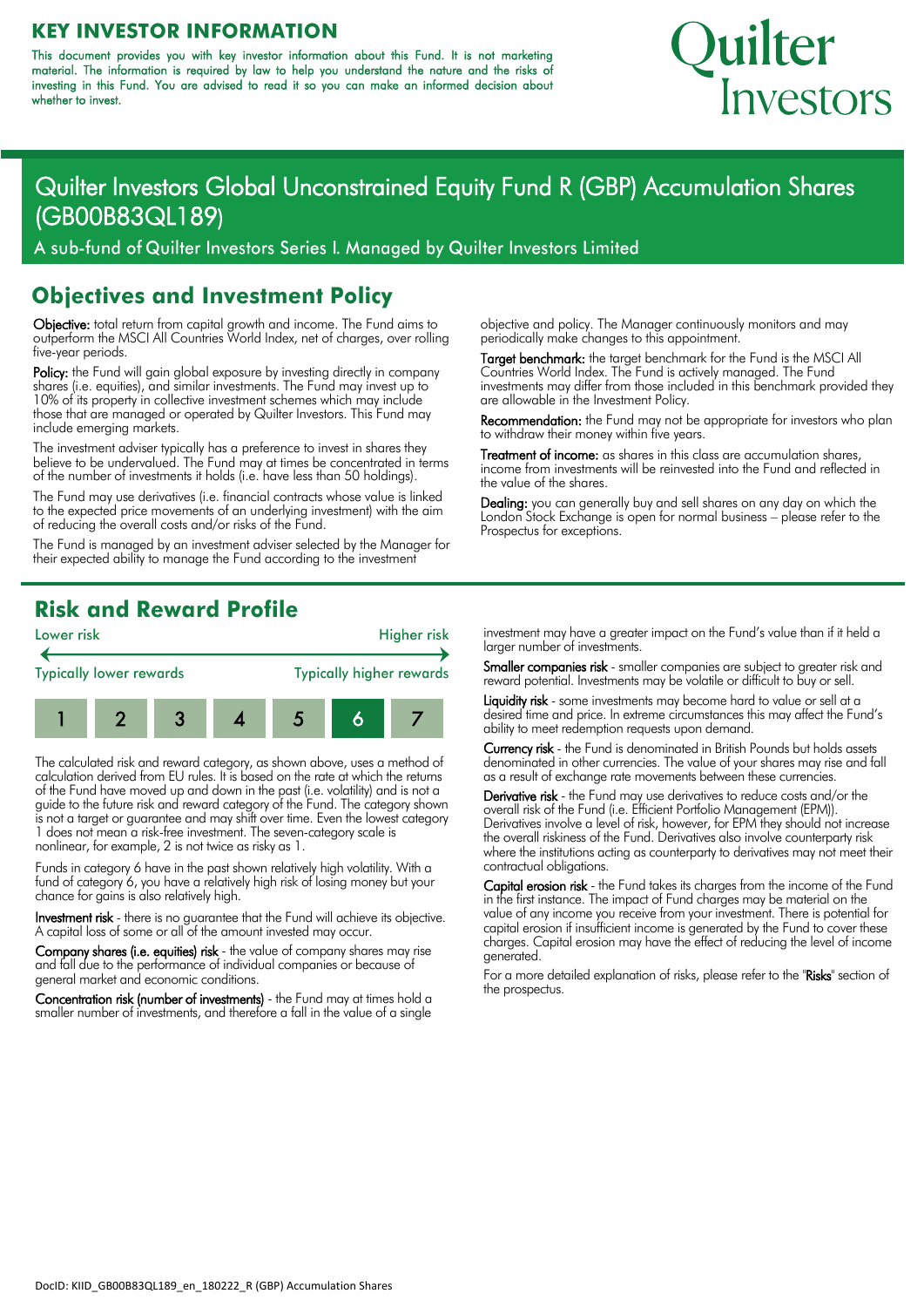#### **KEY INVESTOR INFORMATION**

This document provides you with key investor information about this Fund. It is not marketing material. The information is required by law to help you understand the nature and the risks of investing in this Fund. You are advised to read it so you can make an informed decision about whether to invest.

# Quilter Investors

# Quilter Investors Global Unconstrained Equity Fund R (GBP) Accumulation Shares (GB00B83QL189)

A sub-fund of Quilter Investors Series I. Managed by Quilter Investors Limited

#### **Objectives and Investment Policy**

Objective: total return from capital growth and income. The Fund aims to outperform the MSCI All Countries World Index, net of charges, over rolling five-year periods.

Policy: the Fund will gain global exposure by investing directly in company shares (i.e. equities), and similar investments. The Fund may invest up to 10% of its property in collective investment schemes which may include those that are managed or operated by Quilter Investors. This Fund may include emerging markets.

The investment adviser typically has a preference to invest in shares they believe to be undervalued. The Fund may at times be concentrated in terms of the number of investments it holds (i.e. have less than 50 holdings).

The Fund may use derivatives (i.e. financial contracts whose value is linked to the expected price movements of an underlying investment) with the aim of reducing the overall costs and/or risks of the Fund.

The Fund is managed by an investment adviser selected by the Manager for their expected ability to manage the Fund according to the investment

objective and policy. The Manager continuously monitors and may periodically make changes to this appointment.

Target benchmark: the target benchmark for the Fund is the MSCI All Countries World Index. The Fund is actively managed. The Fund investments may differ from those included in this benchmark provided they are allowable in the Investment Policy.

Recommendation: the Fund may not be appropriate for investors who plan to withdraw their money within five years.

Treatment of income: as shares in this class are accumulation shares, income from investments will be reinvested into the Fund and reflected in the value of the shares.

Dealing: you can generally buy and sell shares on any day on which the London Stock Exchange is open for normal business – please refer to the Prospectus for exceptions.

### **Risk and Reward Profile**



The calculated risk and reward category, as shown above, uses a method of calculation derived from EU rules. It is based on the rate at which the returns of the Fund have moved up and down in the past (i.e. volatility) and is not a guide to the future risk and reward category of the Fund. The category shown is not a target or guarantee and may shift over time. Even the lowest category 1 does not mean a risk-free investment. The seven-category scale is nonlinear, for example, 2 is not twice as risky as 1.

Funds in category 6 have in the past shown relatively high volatility. With a fund of category 6, you have a relatively high risk of losing money but your chance for gains is also relatively high.

Investment risk - there is no guarantee that the Fund will achieve its objective. A capital loss of some or all of the amount invested may occur.

Company shares (i.e. equities) risk - the value of company shares may rise and fall due to the performance of individual companies or because of general market and economic conditions.

Concentration risk (number of investments) - the Fund may at times hold a smaller number of investments, and therefore a fall in the value of a sinale

investment may have a greater impact on the Fund's value than if it held a larger number of investments.

Smaller companies risk - smaller companies are subject to greater risk and reward potential. Investments may be volatile or difficult to buy or sell.

Liquidity risk - some investments may become hard to value or sell at a desired time and price. In extreme circumstances this may affect the Fund's ability to meet redemption requests upon demand.

Currency risk - the Fund is denominated in British Pounds but holds assets denominated in other currencies. The value of your shares may rise and fall as a result of exchange rate movements between these currencies.

Derivative risk - the Fund may use derivatives to reduce costs and/or the overall risk of the Fund (i.e. Efficient Portfolio Management (EPM)). Derivatives involve a level of risk, however, for EPM they should not increase the overall riskiness of the Fund. Derivatives also involve counterparty risk where the institutions acting as counterparty to derivatives may not meet their contractual obligations.

Capital erosion risk - the Fund takes its charges from the income of the Fund in the first instance. The impact of Fund charges may be material on the value of any income you receive from your investment. There is potential for capital erosion if insufficient income is generated by the Fund to cover these charges. Capital erosion may have the effect of reducing the level of income generated.

For a more detailed explanation of risks, please refer to the "Risks" section of the prospectus.